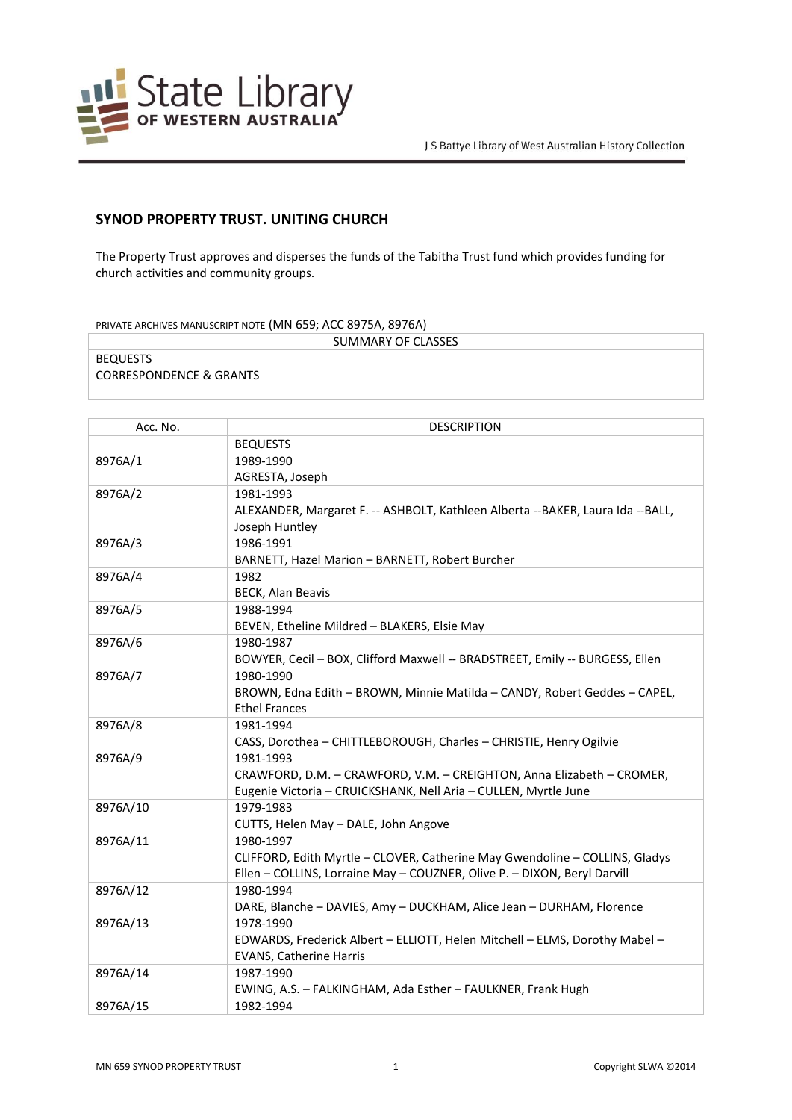

## **SYNOD PROPERTY TRUST. UNITING CHURCH**

The Property Trust approves and disperses the funds of the Tabitha Trust fund which provides funding for church activities and community groups.

## PRIVATE ARCHIVES MANUSCRIPT NOTE (MN 659; ACC 8975A, 8976A)

| SUMMARY OF CLASSES                 |  |  |
|------------------------------------|--|--|
| BEQUESTS                           |  |  |
| <b>CORRESPONDENCE &amp; GRANTS</b> |  |  |

| Acc. No. | <b>DESCRIPTION</b>                                                               |
|----------|----------------------------------------------------------------------------------|
|          | <b>BEQUESTS</b>                                                                  |
| 8976A/1  | 1989-1990                                                                        |
|          | AGRESTA, Joseph                                                                  |
| 8976A/2  | 1981-1993                                                                        |
|          | ALEXANDER, Margaret F. -- ASHBOLT, Kathleen Alberta -- BAKER, Laura Ida -- BALL, |
|          | Joseph Huntley                                                                   |
| 8976A/3  | 1986-1991                                                                        |
|          | BARNETT, Hazel Marion - BARNETT, Robert Burcher                                  |
| 8976A/4  | 1982                                                                             |
|          | <b>BECK, Alan Beavis</b>                                                         |
| 8976A/5  | 1988-1994                                                                        |
|          | BEVEN, Etheline Mildred - BLAKERS, Elsie May                                     |
| 8976A/6  | 1980-1987                                                                        |
|          | BOWYER, Cecil - BOX, Clifford Maxwell -- BRADSTREET, Emily -- BURGESS, Ellen     |
| 8976A/7  | 1980-1990                                                                        |
|          | BROWN, Edna Edith - BROWN, Minnie Matilda - CANDY, Robert Geddes - CAPEL,        |
|          | <b>Ethel Frances</b>                                                             |
| 8976A/8  | 1981-1994                                                                        |
|          | CASS, Dorothea - CHITTLEBOROUGH, Charles - CHRISTIE, Henry Ogilvie               |
| 8976A/9  | 1981-1993                                                                        |
|          | CRAWFORD, D.M. - CRAWFORD, V.M. - CREIGHTON, Anna Elizabeth - CROMER,            |
|          | Eugenie Victoria - CRUICKSHANK, Nell Aria - CULLEN, Myrtle June                  |
| 8976A/10 | 1979-1983                                                                        |
|          | CUTTS, Helen May - DALE, John Angove                                             |
| 8976A/11 | 1980-1997                                                                        |
|          | CLIFFORD, Edith Myrtle - CLOVER, Catherine May Gwendoline - COLLINS, Gladys      |
|          | Ellen - COLLINS, Lorraine May - COUZNER, Olive P. - DIXON, Beryl Darvill         |
| 8976A/12 | 1980-1994                                                                        |
|          | DARE, Blanche - DAVIES, Amy - DUCKHAM, Alice Jean - DURHAM, Florence             |
| 8976A/13 | 1978-1990                                                                        |
|          | EDWARDS, Frederick Albert - ELLIOTT, Helen Mitchell - ELMS, Dorothy Mabel -      |
|          | <b>EVANS, Catherine Harris</b>                                                   |
| 8976A/14 | 1987-1990                                                                        |
|          | EWING, A.S. - FALKINGHAM, Ada Esther - FAULKNER, Frank Hugh                      |
| 8976A/15 | 1982-1994                                                                        |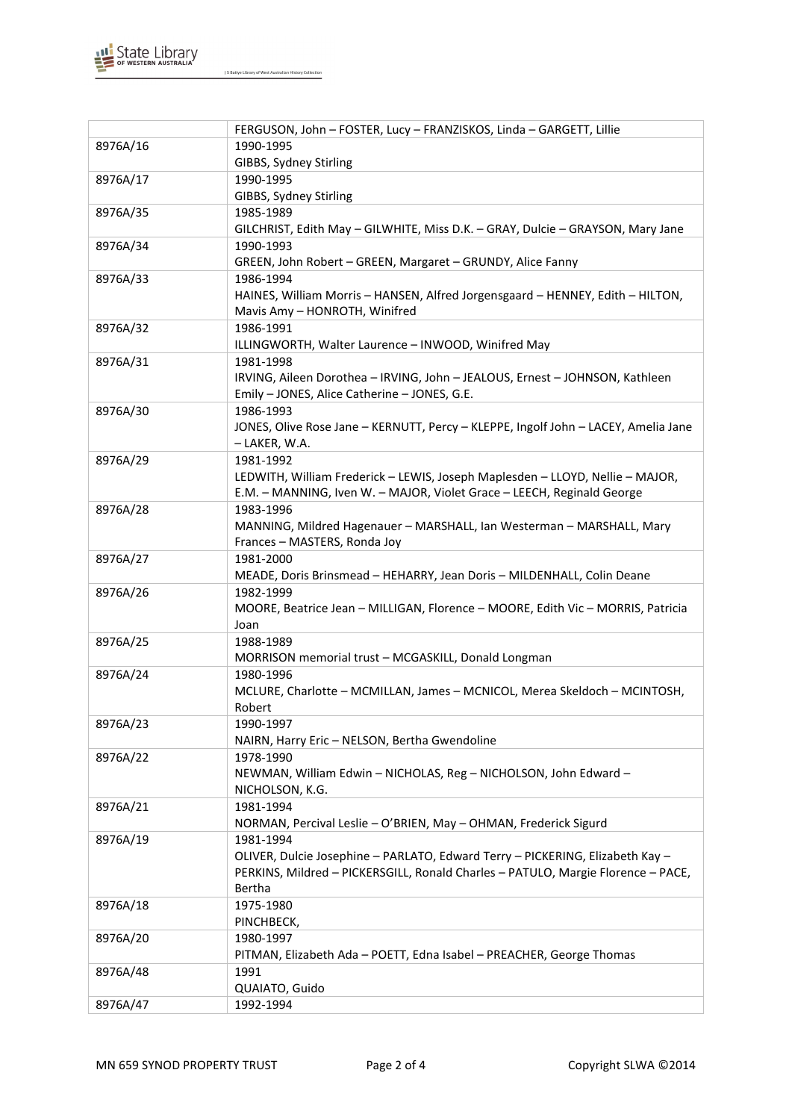

J S Battye Library of West Australian History Collection

|          | FERGUSON, John - FOSTER, Lucy - FRANZISKOS, Linda - GARGETT, Lillie                |
|----------|------------------------------------------------------------------------------------|
| 8976A/16 | 1990-1995                                                                          |
|          | GIBBS, Sydney Stirling                                                             |
| 8976A/17 | 1990-1995                                                                          |
|          | GIBBS, Sydney Stirling                                                             |
| 8976A/35 | 1985-1989                                                                          |
|          | GILCHRIST, Edith May - GILWHITE, Miss D.K. - GRAY, Dulcie - GRAYSON, Mary Jane     |
| 8976A/34 | 1990-1993                                                                          |
|          | GREEN, John Robert - GREEN, Margaret - GRUNDY, Alice Fanny                         |
| 8976A/33 | 1986-1994                                                                          |
|          | HAINES, William Morris - HANSEN, Alfred Jorgensgaard - HENNEY, Edith - HILTON,     |
|          | Mavis Amy - HONROTH, Winifred                                                      |
| 8976A/32 | 1986-1991                                                                          |
|          | ILLINGWORTH, Walter Laurence - INWOOD, Winifred May                                |
| 8976A/31 | 1981-1998                                                                          |
|          | IRVING, Aileen Dorothea - IRVING, John - JEALOUS, Ernest - JOHNSON, Kathleen       |
|          | Emily - JONES, Alice Catherine - JONES, G.E.                                       |
| 8976A/30 | 1986-1993                                                                          |
|          | JONES, Olive Rose Jane - KERNUTT, Percy - KLEPPE, Ingolf John - LACEY, Amelia Jane |
|          | – LAKER, W.A.                                                                      |
| 8976A/29 | 1981-1992                                                                          |
|          | LEDWITH, William Frederick - LEWIS, Joseph Maplesden - LLOYD, Nellie - MAJOR,      |
|          | E.M. - MANNING, Iven W. - MAJOR, Violet Grace - LEECH, Reginald George             |
| 8976A/28 | 1983-1996                                                                          |
|          | MANNING, Mildred Hagenauer - MARSHALL, Ian Westerman - MARSHALL, Mary              |
|          | Frances - MASTERS, Ronda Joy                                                       |
| 8976A/27 | 1981-2000                                                                          |
|          | MEADE, Doris Brinsmead - HEHARRY, Jean Doris - MILDENHALL, Colin Deane             |
| 8976A/26 | 1982-1999                                                                          |
|          | MOORE, Beatrice Jean - MILLIGAN, Florence - MOORE, Edith Vic - MORRIS, Patricia    |
|          | Joan                                                                               |
| 8976A/25 | 1988-1989                                                                          |
|          | MORRISON memorial trust - MCGASKILL, Donald Longman                                |
| 8976A/24 | 1980-1996                                                                          |
|          | MCLURE, Charlotte - MCMILLAN, James - MCNICOL, Merea Skeldoch - MCINTOSH,          |
|          | Robert                                                                             |
| 8976A/23 | 1990-1997                                                                          |
|          | NAIRN, Harry Eric - NELSON, Bertha Gwendoline                                      |
| 8976A/22 | 1978-1990                                                                          |
|          | NEWMAN, William Edwin - NICHOLAS, Reg - NICHOLSON, John Edward -                   |
| 8976A/21 | NICHOLSON, K.G.<br>1981-1994                                                       |
|          | NORMAN, Percival Leslie - O'BRIEN, May - OHMAN, Frederick Sigurd                   |
| 8976A/19 | 1981-1994                                                                          |
|          | OLIVER, Dulcie Josephine - PARLATO, Edward Terry - PICKERING, Elizabeth Kay -      |
|          | PERKINS, Mildred - PICKERSGILL, Ronald Charles - PATULO, Margie Florence - PACE,   |
|          | Bertha                                                                             |
| 8976A/18 | 1975-1980                                                                          |
|          | PINCHBECK,                                                                         |
| 8976A/20 | 1980-1997                                                                          |
|          | PITMAN, Elizabeth Ada - POETT, Edna Isabel - PREACHER, George Thomas               |
| 8976A/48 | 1991                                                                               |
|          | QUAIATO, Guido                                                                     |
| 8976A/47 | 1992-1994                                                                          |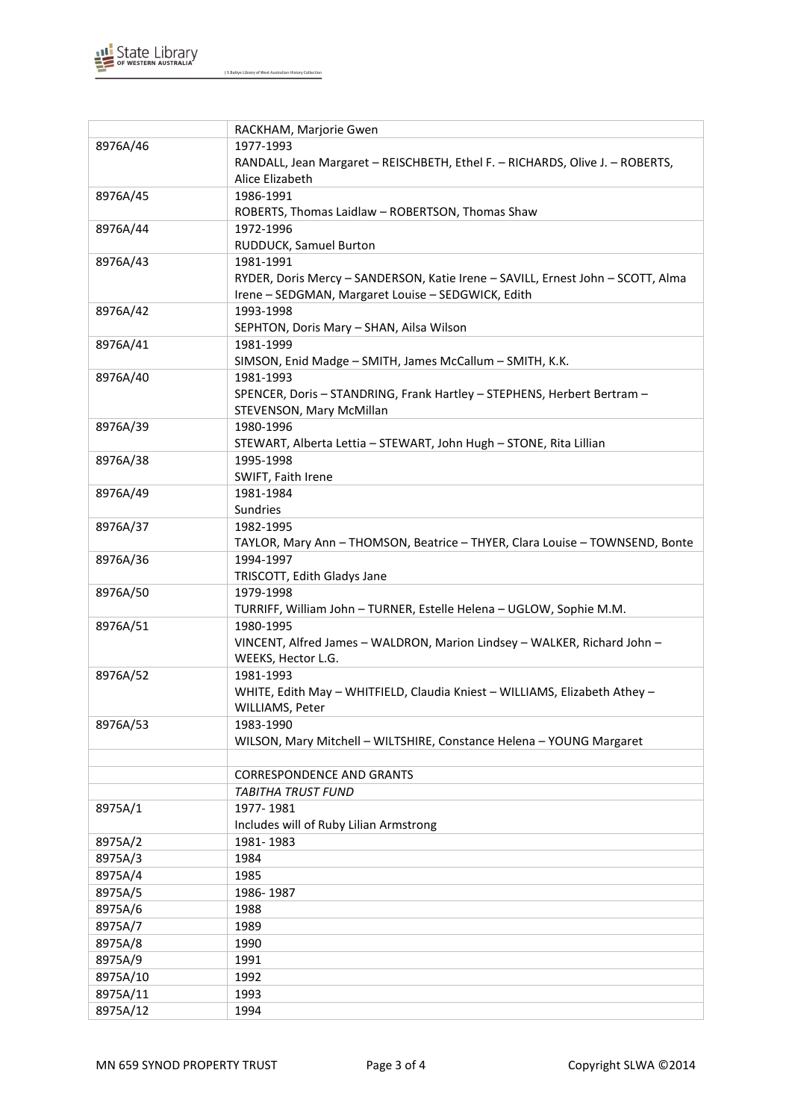

J S Battye Library of West Australian History Collection

|          | RACKHAM, Marjorie Gwen                                                          |
|----------|---------------------------------------------------------------------------------|
| 8976A/46 | 1977-1993                                                                       |
|          | RANDALL, Jean Margaret - REISCHBETH, Ethel F. - RICHARDS, Olive J. - ROBERTS,   |
|          | Alice Elizabeth                                                                 |
| 8976A/45 | 1986-1991                                                                       |
|          | ROBERTS, Thomas Laidlaw - ROBERTSON, Thomas Shaw                                |
| 8976A/44 | 1972-1996                                                                       |
|          | RUDDUCK, Samuel Burton                                                          |
| 8976A/43 | 1981-1991                                                                       |
|          | RYDER, Doris Mercy - SANDERSON, Katie Irene - SAVILL, Ernest John - SCOTT, Alma |
|          | Irene - SEDGMAN, Margaret Louise - SEDGWICK, Edith                              |
| 8976A/42 | 1993-1998                                                                       |
|          | SEPHTON, Doris Mary - SHAN, Ailsa Wilson                                        |
| 8976A/41 | 1981-1999                                                                       |
|          | SIMSON, Enid Madge - SMITH, James McCallum - SMITH, K.K.                        |
| 8976A/40 | 1981-1993                                                                       |
|          | SPENCER, Doris - STANDRING, Frank Hartley - STEPHENS, Herbert Bertram -         |
|          | STEVENSON, Mary McMillan                                                        |
| 8976A/39 | 1980-1996                                                                       |
|          | STEWART, Alberta Lettia - STEWART, John Hugh - STONE, Rita Lillian              |
| 8976A/38 | 1995-1998                                                                       |
|          | SWIFT, Faith Irene                                                              |
| 8976A/49 | 1981-1984                                                                       |
|          | Sundries                                                                        |
| 8976A/37 | 1982-1995                                                                       |
|          | TAYLOR, Mary Ann - THOMSON, Beatrice - THYER, Clara Louise - TOWNSEND, Bonte    |
| 8976A/36 | 1994-1997                                                                       |
|          | TRISCOTT, Edith Gladys Jane                                                     |
| 8976A/50 | 1979-1998                                                                       |
|          | TURRIFF, William John - TURNER, Estelle Helena - UGLOW, Sophie M.M.             |
| 8976A/51 | 1980-1995                                                                       |
|          | VINCENT, Alfred James - WALDRON, Marion Lindsey - WALKER, Richard John -        |
|          | WEEKS, Hector L.G.                                                              |
| 8976A/52 | 1981-1993                                                                       |
|          | WHITE, Edith May - WHITFIELD, Claudia Kniest - WILLIAMS, Elizabeth Athey -      |
|          | WILLIAMS, Peter                                                                 |
| 8976A/53 | 1983-1990                                                                       |
|          | WILSON, Mary Mitchell - WILTSHIRE, Constance Helena - YOUNG Margaret            |
|          |                                                                                 |
|          | <b>CORRESPONDENCE AND GRANTS</b>                                                |
|          | <b>TABITHA TRUST FUND</b>                                                       |
| 8975A/1  | 1977-1981                                                                       |
|          | Includes will of Ruby Lilian Armstrong                                          |
| 8975A/2  | 1981-1983                                                                       |
| 8975A/3  | 1984                                                                            |
| 8975A/4  | 1985                                                                            |
| 8975A/5  | 1986-1987                                                                       |
| 8975A/6  | 1988                                                                            |
| 8975A/7  | 1989                                                                            |
| 8975A/8  | 1990                                                                            |
| 8975A/9  | 1991                                                                            |
| 8975A/10 | 1992                                                                            |
|          |                                                                                 |
| 8975A/11 | 1993                                                                            |
| 8975A/12 | 1994                                                                            |